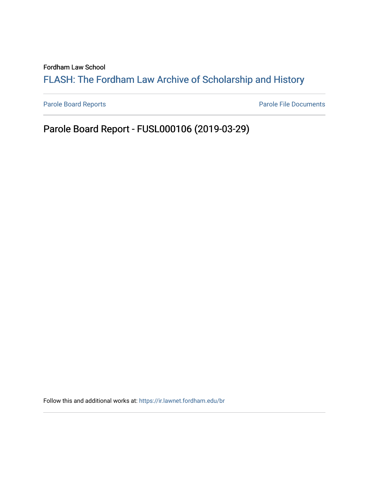Fordham Law School

## FLASH: The For[dham Law Archive of Scholarship and Hist](https://ir.lawnet.fordham.edu/)ory

[Parole Board Reports](https://ir.lawnet.fordham.edu/br) **Parole File Documents** 

Parole Board Report - FUSL000106 (2019-03-29)

Follow this and additional works at: [https://ir.lawnet.fordham.edu/br](https://ir.lawnet.fordham.edu/br?utm_source=ir.lawnet.fordham.edu%2Fbr%2F13&utm_medium=PDF&utm_campaign=PDFCoverPages)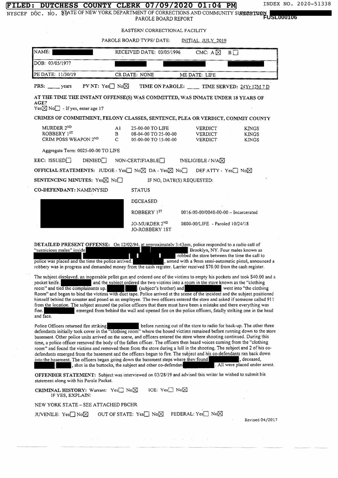## **FILED: DUTCHESS COUNTY CLERK 07/09/2020 01:04 PM** INDEX NO. 2020-51338 [

 $\mathcal{A}^{\mathcal{A}}$ 

 $\cdot$ 

NYSCEF DOC. NO. \$54TE OF NEW YORK DEPARTMENT OF CORRECTIONS AND COMMUNITY SU<del>RECE</del>NIERD<br>PAROLE BOARD REPORT SHATE OF NEW YORK DEPARTMENT OF CORRECTIONS AND COMMUNITY SURECETSION PAROLE BOARD REPORT

EASTERN CORRECTIONAL FACILITY

| NAME:                                                                                                                                                                                                                                                                                                                                                                                                                                                                                                                                                                                                                                                                                                                                                                                                        |                                | RECEIVED DATE: 03/05/1996                                                                                                                                                                        | CMC: $A \boxtimes$                            | B                                    |                                                                                                          |
|--------------------------------------------------------------------------------------------------------------------------------------------------------------------------------------------------------------------------------------------------------------------------------------------------------------------------------------------------------------------------------------------------------------------------------------------------------------------------------------------------------------------------------------------------------------------------------------------------------------------------------------------------------------------------------------------------------------------------------------------------------------------------------------------------------------|--------------------------------|--------------------------------------------------------------------------------------------------------------------------------------------------------------------------------------------------|-----------------------------------------------|--------------------------------------|----------------------------------------------------------------------------------------------------------|
| DOB: 03/05/1977                                                                                                                                                                                                                                                                                                                                                                                                                                                                                                                                                                                                                                                                                                                                                                                              |                                |                                                                                                                                                                                                  |                                               |                                      |                                                                                                          |
| PE DATE: 11/30/19                                                                                                                                                                                                                                                                                                                                                                                                                                                                                                                                                                                                                                                                                                                                                                                            |                                | CR DATE: NONE                                                                                                                                                                                    | ME DATE: LIFE                                 |                                      |                                                                                                          |
|                                                                                                                                                                                                                                                                                                                                                                                                                                                                                                                                                                                                                                                                                                                                                                                                              |                                |                                                                                                                                                                                                  |                                               |                                      |                                                                                                          |
| PRS: ________ years                                                                                                                                                                                                                                                                                                                                                                                                                                                                                                                                                                                                                                                                                                                                                                                          | PV NT: $Yes \Box No \boxtimes$ | TIME ON PAROLE: TIME SERVED: 24Yr 12M 7 D                                                                                                                                                        |                                               |                                      |                                                                                                          |
| AT THE TIME THE INSTANT OFFENSE(S) WAS COMMITTED, WAS INMATE UNDER 18 YEARS OF<br>AGE?<br>$Yes \boxtimes No \square$ - If yes, enter age 17                                                                                                                                                                                                                                                                                                                                                                                                                                                                                                                                                                                                                                                                  |                                |                                                                                                                                                                                                  |                                               |                                      |                                                                                                          |
| CRIMES OF COMMITMENT, FELONY CLASSES, SENTENCE, PLEA OR VERDICT, COMMIT COUNTY                                                                                                                                                                                                                                                                                                                                                                                                                                                                                                                                                                                                                                                                                                                               |                                |                                                                                                                                                                                                  |                                               |                                      |                                                                                                          |
| MURDER 2ND<br>ROBBERY 1ST<br>CRIM POSS WEAPON 2ND                                                                                                                                                                                                                                                                                                                                                                                                                                                                                                                                                                                                                                                                                                                                                            | Al<br>В<br>C                   | 25-00-00 TO LIFE<br>08-04-00 TO 25-00-00<br>05-00-00 TO 15-00-00                                                                                                                                 | VERDICT<br>VERDICT<br>VERDICT                 |                                      | KINGS<br>KINGS<br>KINGS                                                                                  |
| Aggregate Term: 0025-00-00 TO LIFE                                                                                                                                                                                                                                                                                                                                                                                                                                                                                                                                                                                                                                                                                                                                                                           |                                |                                                                                                                                                                                                  |                                               |                                      |                                                                                                          |
| EEC: ISSUBD                                                                                                                                                                                                                                                                                                                                                                                                                                                                                                                                                                                                                                                                                                                                                                                                  | <b>DENIED</b>                  | $NON-CERTIFIABLE$                                                                                                                                                                                | INELIGIBLE / $N/A\overline{\boxtimes}$        |                                      |                                                                                                          |
| OFFICIAL STATEMENTS: JUDGE - Yes $\Box$ No $\boxtimes$ DA - Yes $\boxtimes$ No $\Box$ DEF ATTY - Yes $\Box$ No $\boxtimes$                                                                                                                                                                                                                                                                                                                                                                                                                                                                                                                                                                                                                                                                                   |                                |                                                                                                                                                                                                  |                                               |                                      |                                                                                                          |
| SENTENCING MINUTES: $Yes \boxtimes No$                                                                                                                                                                                                                                                                                                                                                                                                                                                                                                                                                                                                                                                                                                                                                                       |                                |                                                                                                                                                                                                  | IF NO, DATE(S) REQUESTED:                     |                                      |                                                                                                          |
| CO-DEFENDANT: NAME/NYSID                                                                                                                                                                                                                                                                                                                                                                                                                                                                                                                                                                                                                                                                                                                                                                                     |                                | <b>STATUS</b>                                                                                                                                                                                    |                                               |                                      |                                                                                                          |
|                                                                                                                                                                                                                                                                                                                                                                                                                                                                                                                                                                                                                                                                                                                                                                                                              |                                | DECEASED                                                                                                                                                                                         |                                               |                                      |                                                                                                          |
|                                                                                                                                                                                                                                                                                                                                                                                                                                                                                                                                                                                                                                                                                                                                                                                                              |                                | ROBBERY 1ST                                                                                                                                                                                      |                                               | 0016-00-00/0040-00-00 - Incarcerated |                                                                                                          |
|                                                                                                                                                                                                                                                                                                                                                                                                                                                                                                                                                                                                                                                                                                                                                                                                              |                                | JO-MURDER 2 <sup>ND</sup><br>JO-ROBBERY 1ST                                                                                                                                                      |                                               | 0800-00/LIFE - Paroled 10/24/18      |                                                                                                          |
| "suspicious males" inside                                                                                                                                                                                                                                                                                                                                                                                                                                                                                                                                                                                                                                                                                                                                                                                    |                                | T T<br>$\mathcal{L}_{\mathcal{A}}$                                                                                                                                                               | robbed the store between the time the call to | Brooklyn, NY. Four males known as    | , armed with a 9mm semi-automatic pistol, announced a                                                    |
| police was placed and the time the police arrived.<br>robbery was in progress and demanded money from the cash register. Larrier received \$70.00 from the cash register.<br>The subject displayed, an inoperable pellet gun and ordered one of the victims to empty his pockets and took \$40.00 and a<br>pocket knife.<br>room" and tied the complainants up. (subject's brother) and went into "the clothing<br>Room" and began to bind the victims with duct tape. Police arrived at the scene of the incident and the subject positioned<br>himself behind the counter and posed as an employee. The two officers entered the store and asked if someone called 911<br>from the location. The subject assured the police officers that there must have been a mistake and there everything was<br>fine. |                                | and the subject ordered the two victims into a room in the store known as the "clothing<br>emerged from behind the wall and opened fire on the police officers, fatally striking one in the head |                                               |                                      |                                                                                                          |
| and face.<br>Police Officers returned fire striking<br>defendants initially took cover in the "clothing room" where the bound victims remained before running down to the store<br>basement. Other police units arrived on the scene, and officers entered the store where shooting continued. During this<br>time, a police officer removed the body of the fallen officer. The officers then heard voices coming from the "clothing<br>room" and found the victims and removed them from the store during a lull in the shooting. The subject and 2 of his co-<br>defendants emerged from the basement and the officers began to fire. The subject and his co-defendants ran back down<br>into the basement. The officers began going down the basement steps where they found                             |                                | , shot in the buttocks, the subject and other co-defendant                                                                                                                                       |                                               |                                      | , deceased,                                                                                              |
| OFFENDER STATEMENT: Subject was interviewed on 03/28/19 and advised this writer he wished to submit his<br>statement along with his Parole Packet.                                                                                                                                                                                                                                                                                                                                                                                                                                                                                                                                                                                                                                                           |                                |                                                                                                                                                                                                  |                                               |                                      |                                                                                                          |
| CRIMINAL HISTORY: Warrant: Yes□ No⊠<br>IF YES, EXPLAIN:                                                                                                                                                                                                                                                                                                                                                                                                                                                                                                                                                                                                                                                                                                                                                      |                                | ICE: $Yes \tNo\!\!\!\!\!\times$                                                                                                                                                                  |                                               |                                      |                                                                                                          |
| NEW YORK STATE – SEE ATTACHED PBCHR                                                                                                                                                                                                                                                                                                                                                                                                                                                                                                                                                                                                                                                                                                                                                                          |                                |                                                                                                                                                                                                  |                                               |                                      | before running out of the store to radio for back-up. The other three<br>. All were placed under arrest. |